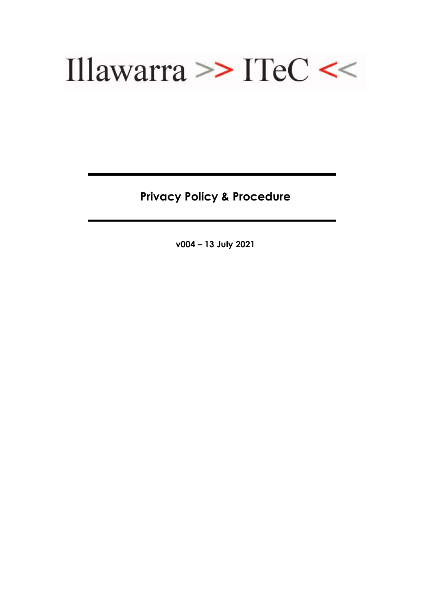

**Privacy Policy & Procedure**

**v004 – 13 July 2021**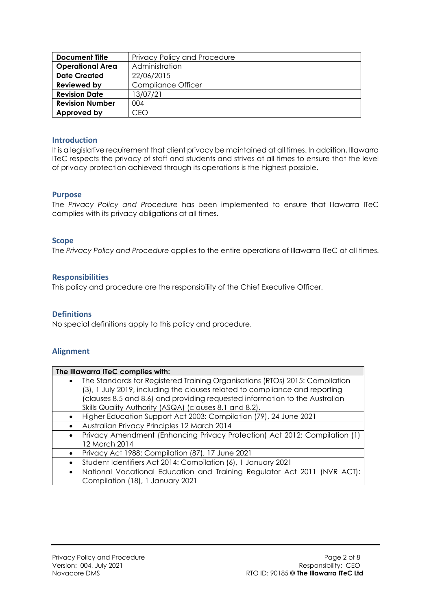| <b>Document Title</b>   | Privacy Policy and Procedure |
|-------------------------|------------------------------|
| <b>Operational Area</b> | Administration               |
| <b>Date Created</b>     | 22/06/2015                   |
| <b>Reviewed by</b>      | <b>Compliance Officer</b>    |
| <b>Revision Date</b>    | 13/07/21                     |
| <b>Revision Number</b>  | 004                          |
| Approved by             | CFO                          |

## **Introduction**

It is a legislative requirement that client privacy be maintained at all times. In addition, Illawarra ITeC respects the privacy of staff and students and strives at all times to ensure that the level of privacy protection achieved through its operations is the highest possible.

## **Purpose**

The *Privacy Policy and Procedure* has been implemented to ensure that Illawarra ITeC complies with its privacy obligations at all times.

## **Scope**

The *Privacy Policy and Procedure* applies to the entire operations of Illawarra ITeC at all times.

#### **Responsibilities**

This policy and procedure are the responsibility of the Chief Executive Officer.

## **Definitions**

No special definitions apply to this policy and procedure.

## **Alignment**

| The Illawarra ITeC complies with: |                                                                              |
|-----------------------------------|------------------------------------------------------------------------------|
| $\bullet$                         | The Standards for Registered Training Organisations (RTOs) 2015: Compilation |
|                                   | (3), 1 July 2019, including the clauses related to compliance and reporting  |
|                                   | (clauses 8.5 and 8.6) and providing requested information to the Australian  |
|                                   | Skills Quality Authority (ASQA) (clauses 8.1 and 8.2).                       |
|                                   | Higher Education Support Act 2003: Compilation (79), 24 June 2021            |
|                                   | Australian Privacy Principles 12 March 2014                                  |
| $\bullet$                         | Privacy Amendment (Enhancing Privacy Protection) Act 2012: Compilation (1)   |
|                                   | 12 March 2014                                                                |
| $\bullet$                         | Privacy Act 1988: Compilation (87), 17 June 2021                             |
|                                   | Student Identifiers Act 2014: Compilation (6), 1 January 2021                |
| $\bullet$                         | National Vocational Education and Training Regulator Act 2011 (NVR ACT):     |
|                                   | Compilation (18), 1 January 2021                                             |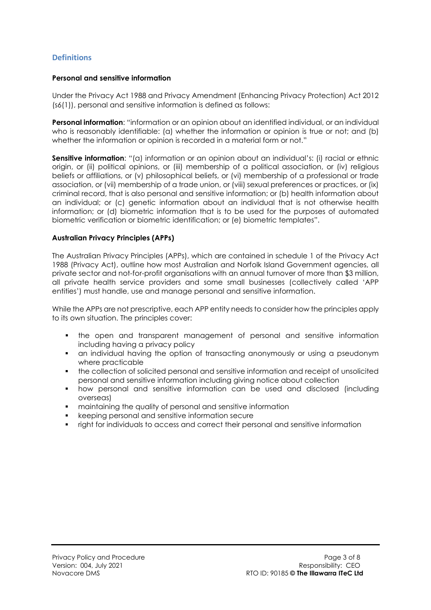# **Definitions**

## **Personal and sensitive information**

Under the Privacy Act 1988 and Privacy Amendment (Enhancing Privacy Protection) Act 2012 (s6(1)), personal and sensitive information is defined as follows:

**Personal information**: "information or an opinion about an identified individual, or an individual who is reasonably identifiable: (a) whether the information or opinion is true or not; and (b) whether the information or opinion is recorded in a material form or not."

**Sensitive information**: "(a) information or an opinion about an individual's: (i) racial or ethnic origin, or (ii) political opinions, or (iii) membership of a political association, or (iv) religious beliefs or affiliations, or (v) philosophical beliefs, or (vi) membership of a professional or trade association, or (vii) membership of a trade union, or (viii) sexual preferences or practices, or (ix) criminal record, that is also personal and sensitive information; or (b) health information about an individual; or (c) genetic information about an individual that is not otherwise health information; or (d) biometric information that is to be used for the purposes of automated biometric verification or biometric identification; or (e) biometric templates".

## **Australian Privacy Principles (APPs)**

The Australian Privacy Principles (APPs), which are contained in schedule 1 of the Privacy Act 1988 (Privacy Act), outline how most Australian and Norfolk Island Government agencies, all private sector and not-for-profit organisations with an annual turnover of more than \$3 million, all private health service providers and some small businesses (collectively called 'APP entities') must handle, use and manage personal and sensitive information.

While the APPs are not prescriptive, each APP entity needs to consider how the principles apply to its own situation. The principles cover:

- the open and transparent management of personal and sensitive information including having a privacy policy
- an individual having the option of transacting anonymously or using a pseudonym where practicable
- the collection of solicited personal and sensitive information and receipt of unsolicited personal and sensitive information including giving notice about collection
- how personal and sensitive information can be used and disclosed (including overseas)
- maintaining the quality of personal and sensitive information
- keeping personal and sensitive information secure
- right for individuals to access and correct their personal and sensitive information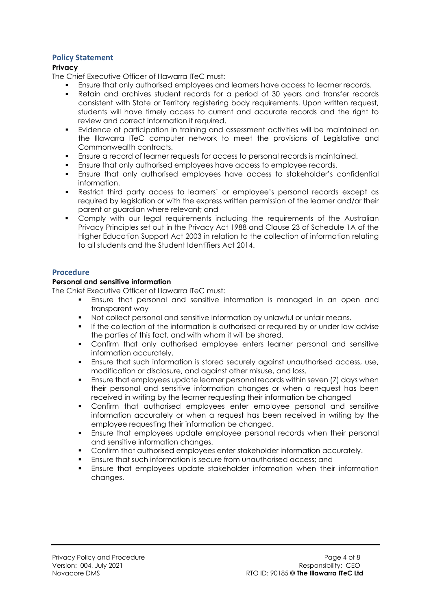# **Policy Statement**

## **Privacy**

The Chief Executive Officer of Illawarra ITeC must:

- Ensure that only authorised employees and learners have access to learner records.
- Retain and archives student records for a period of 30 years and transfer records consistent with State or Territory registering body requirements. Upon written request, students will have timely access to current and accurate records and the right to review and correct information if required.
- Evidence of participation in training and assessment activities will be maintained on the Illawarra ITeC computer network to meet the provisions of Legislative and Commonwealth contracts.
- Ensure a record of learner requests for access to personal records is maintained.
- Ensure that only authorised employees have access to employee records.
- Ensure that only authorised employees have access to stakeholder's confidential information.
- Restrict third party access to learners' or employee's personal records except as required by legislation or with the express written permission of the learner and/or their parent or guardian where relevant; and
- Comply with our legal requirements including the requirements of the Australian Privacy Principles set out in the Privacy Act 1988 and Clause 23 of Schedule 1A of the Higher Education Support Act 2003 in relation to the collection of information relating to all students and the Student Identifiers Act 2014.

## **Procedure**

## **Personal and sensitive information**

The Chief Executive Officer of Illawarra ITeC must:

- Ensure that personal and sensitive information is managed in an open and transparent way
- Not collect personal and sensitive information by unlawful or unfair means.
- If the collection of the information is authorised or required by or under law advise the parties of this fact, and with whom it will be shared.
- Confirm that only authorised employee enters learner personal and sensitive information accurately.
- Ensure that such information is stored securely against unauthorised access, use, modification or disclosure, and against other misuse, and loss.
- Ensure that employees update learner personal records within seven (7) days when their personal and sensitive information changes or when a request has been received in writing by the learner requesting their information be changed
- Confirm that authorised employees enter employee personal and sensitive information accurately or when a request has been received in writing by the employee requesting their information be changed.
- Ensure that employees update employee personal records when their personal and sensitive information changes.
- Confirm that authorised employees enter stakeholder information accurately.
- Ensure that such information is secure from unauthorised access; and
- Ensure that employees update stakeholder information when their information changes.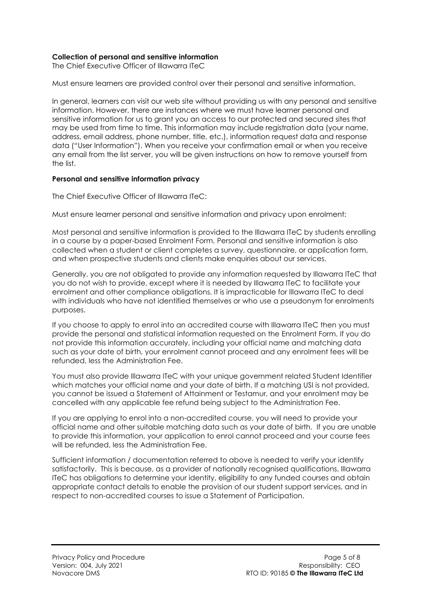## **Collection of personal and sensitive information**

The Chief Executive Officer of Illawarra ITeC

Must ensure learners are provided control over their personal and sensitive information.

In general, learners can visit our web site without providing us with any personal and sensitive information. However, there are instances where we must have learner personal and sensitive information for us to grant you an access to our protected and secured sites that may be used from time to time. This information may include registration data (your name, address, email address, phone number, title, etc.), information request data and response data ("User Information"). When you receive your confirmation email or when you receive any email from the list server, you will be given instructions on how to remove yourself from the list.

#### **Personal and sensitive information privacy**

The Chief Executive Officer of Illawarra ITeC:

Must ensure learner personal and sensitive information and privacy upon enrolment:

Most personal and sensitive information is provided to the Illawarra ITeC by students enrolling in a course by a paper-based Enrolment Form. Personal and sensitive information is also collected when a student or client completes a survey, questionnaire, or application form, and when prospective students and clients make enquiries about our services.

Generally, you are not obligated to provide any information requested by Illawarra ITeC that you do not wish to provide, except where it is needed by Illawarra ITeC to facilitate your enrolment and other compliance obligations. It is impracticable for Illawarra ITeC to deal with individuals who have not identified themselves or who use a pseudonym for enrolments purposes.

If you choose to apply to enrol into an accredited course with Illawarra ITeC then you must provide the personal and statistical information requested on the Enrolment Form. If you do not provide this information accurately, including your official name and matching data such as your date of birth, your enrolment cannot proceed and any enrolment fees will be refunded, less the Administration Fee.

You must also provide Illawarra ITeC with your unique government related Student Identifier which matches your official name and your date of birth. If a matching USI is not provided, you cannot be issued a Statement of Attainment or Testamur, and your enrolment may be cancelled with any applicable fee refund being subject to the Administration Fee.

If you are applying to enrol into a non-accredited course, you will need to provide your official name and other suitable matching data such as your date of birth. If you are unable to provide this information, your application to enrol cannot proceed and your course fees will be refunded, less the Administration Fee.

Sufficient information / documentation referred to above is needed to verify your identify satisfactorily. This is because, as a provider of nationally recognised qualifications, Illawarra ITeC has obligations to determine your identity, eligibility to any funded courses and obtain appropriate contact details to enable the provision of our student support services, and in respect to non-accredited courses to issue a Statement of Participation.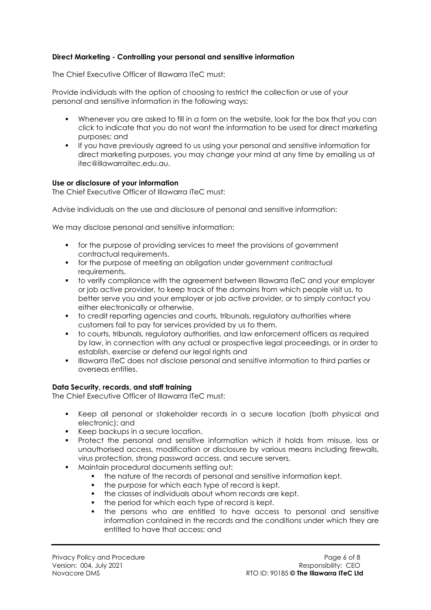# **Direct Marketing - Controlling your personal and sensitive information**

The Chief Executive Officer of Illawarra ITeC must:

Provide individuals with the option of choosing to restrict the collection or use of your personal and sensitive information in the following ways:

- Whenever you are asked to fill in a form on the website, look for the box that you can click to indicate that you do not want the information to be used for direct marketing purposes; and
- **If you have previously agreed to us using your personal and sensitive information for** direct marketing purposes, you may change your mind at any time by emailing us at itec@illawarraitec.edu.au.

## **Use or disclosure of your information**

The Chief Executive Officer of Illawarra ITeC must:

Advise individuals on the use and disclosure of personal and sensitive information:

We may disclose personal and sensitive information:

- for the purpose of providing services to meet the provisions of government contractual requirements.
- **for the purpose of meeting an obligation under government contractual** requirements.
- to verify compliance with the agreement between Illawarra ITeC and your employer or job active provider, to keep track of the domains from which people visit us, to better serve you and your employer or job active provider, or to simply contact you either electronically or otherwise.
- to credit reporting agencies and courts, tribunals, regulatory authorities where customers fail to pay for services provided by us to them.
- to courts, tribunals, regulatory authorities, and law enforcement officers as required by law, in connection with any actual or prospective legal proceedings, or in order to establish, exercise or defend our legal rights and
- **Illawarra ITeC does not disclose personal and sensitive information to third parties or** overseas entities.

## **Data Security, records, and staff training**

The Chief Executive Officer of Illawarra ITeC must:

- Keep all personal or stakeholder records in a secure location (both physical and electronic); and
- Keep backups in a secure location.
- Protect the personal and sensitive information which it holds from misuse, loss or unauthorised access, modification or disclosure by various means including firewalls, virus protection, strong password access, and secure servers.
- Maintain procedural documents setting out:
	- the nature of the records of personal and sensitive information kept.
	- the purpose for which each type of record is kept.
	- the classes of individuals about whom records are kept.
	- the period for which each type of record is kept.
	- the persons who are entitled to have access to personal and sensitive information contained in the records and the conditions under which they are entitled to have that access; and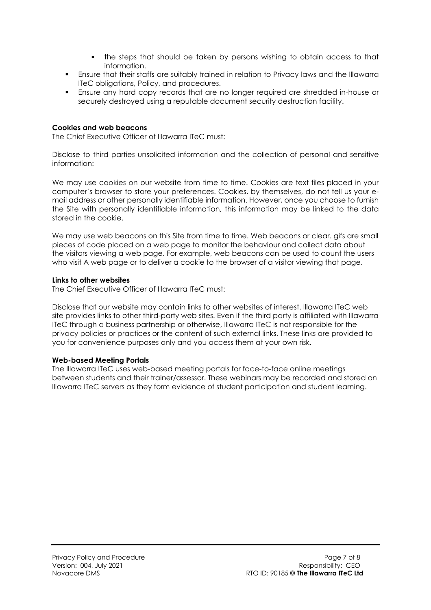- the steps that should be taken by persons wishing to obtain access to that information.
- Ensure that their staffs are suitably trained in relation to Privacy laws and the Illawarra ITeC obligations, Policy, and procedures.
- Ensure any hard copy records that are no longer required are shredded in-house or securely destroyed using a reputable document security destruction facility.

## **Cookies and web beacons**

The Chief Executive Officer of Illawarra ITeC must:

Disclose to third parties unsolicited information and the collection of personal and sensitive information:

We may use cookies on our website from time to time. Cookies are text files placed in your computer's browser to store your preferences. Cookies, by themselves, do not tell us your email address or other personally identifiable information. However, once you choose to furnish the Site with personally identifiable information, this information may be linked to the data stored in the cookie.

We may use web beacons on this Site from time to time. Web beacons or clear. gifs are small pieces of code placed on a web page to monitor the behaviour and collect data about the visitors viewing a web page. For example, web beacons can be used to count the users who visit A web page or to deliver a cookie to the browser of a visitor viewing that page.

#### **Links to other websites**

The Chief Executive Officer of Illawarra ITeC must:

Disclose that our website may contain links to other websites of interest. Illawarra ITeC web site provides links to other third-party web sites. Even if the third party is affiliated with Illawarra ITeC through a business partnership or otherwise, Illawarra ITeC is not responsible for the privacy policies or practices or the content of such external links. These links are provided to you for convenience purposes only and you access them at your own risk.

## **Web-based Meeting Portals**

The Illawarra ITeC uses web-based meeting portals for face-to-face online meetings between students and their trainer/assessor. These webinars may be recorded and stored on Illawarra ITeC servers as they form evidence of student participation and student learning.